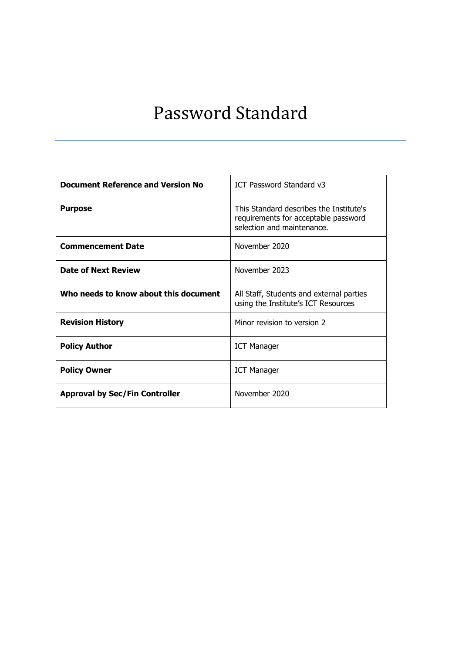## Password Standard

<u> 1989 - Johann John Stein, markin sanadi shekara ta 1989 - An tsa masa ta 1989 - An tsa masa ta 1989 - An tsa</u>

| <b>Document Reference and Version No</b> | ICT Password Standard v3                                                                                      |
|------------------------------------------|---------------------------------------------------------------------------------------------------------------|
| <b>Purpose</b>                           | This Standard describes the Institute's<br>requirements for acceptable password<br>selection and maintenance. |
| <b>Commencement Date</b>                 | November 2020                                                                                                 |
| <b>Date of Next Review</b>               | November 2023                                                                                                 |
| Who needs to know about this document    | All Staff, Students and external parties<br>using the Institute's ICT Resources                               |
| <b>Revision History</b>                  | Minor revision to version 2                                                                                   |
| <b>Policy Author</b>                     | <b>ICT Manager</b>                                                                                            |
| <b>Policy Owner</b>                      | <b>ICT Manager</b>                                                                                            |
| <b>Approval by Sec/Fin Controller</b>    | November 2020                                                                                                 |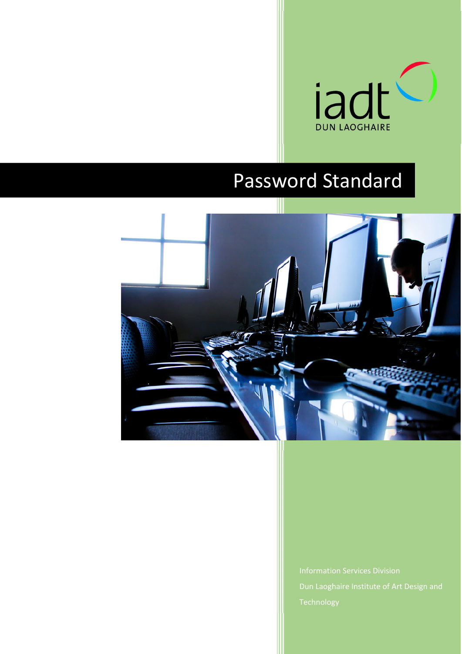

# Password Standard



Dun Laoghaire Institute of Art Design and Technology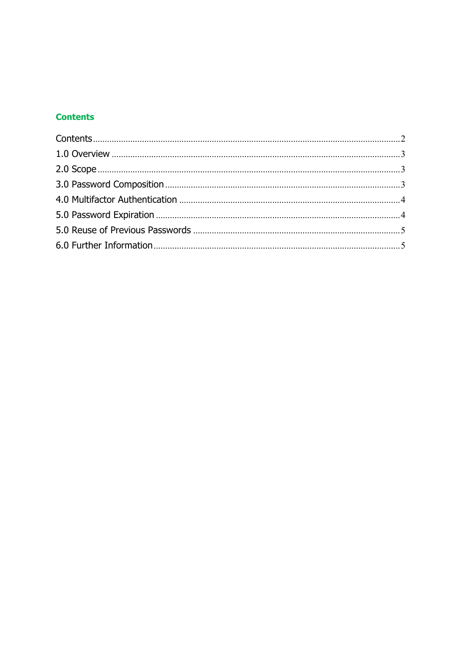## **Contents**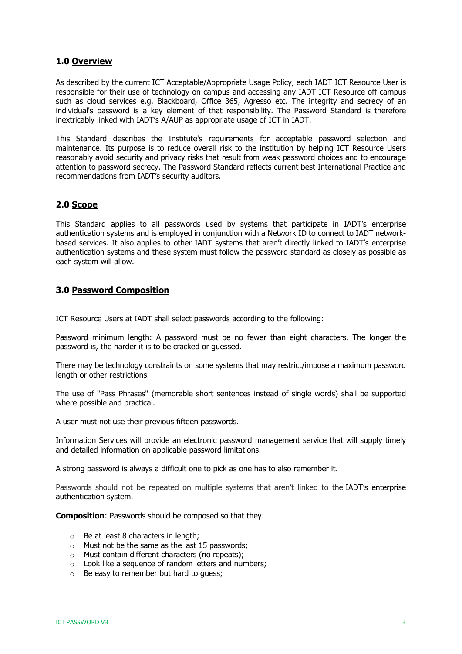## **1.0 Overview**

As described by the current ICT Acceptable/Appropriate Usage Policy, each IADT ICT Resource User is responsible for their use of technology on campus and accessing any IADT ICT Resource off campus such as cloud services e.g. Blackboard, Office 365, Agresso etc. The integrity and secrecy of an individual's password is a key element of that responsibility. The Password Standard is therefore inextricably linked with IADT's A/AUP as appropriate usage of ICT in IADT.

This Standard describes the Institute's requirements for acceptable password selection and maintenance. Its purpose is to reduce overall risk to the institution by helping ICT Resource Users reasonably avoid security and privacy risks that result from weak password choices and to encourage attention to password secrecy. The Password Standard reflects current best International Practice and recommendations from IADT's security auditors.

## **2.0 Scope**

This Standard applies to all passwords used by systems that participate in IADT's enterprise authentication systems and is employed in conjunction with a Network ID to connect to IADT networkbased services. It also applies to other IADT systems that aren't directly linked to IADT's enterprise authentication systems and these system must follow the password standard as closely as possible as each system will allow.

## **3.0 Password Composition**

ICT Resource Users at IADT shall select passwords according to the following:

Password minimum length: A password must be no fewer than eight characters. The longer the password is, the harder it is to be cracked or guessed.

There may be technology constraints on some systems that may restrict/impose a maximum password length or other restrictions.

The use of "Pass Phrases" (memorable short sentences instead of single words) shall be supported where possible and practical.

A user must not use their previous fifteen passwords.

Information Services will provide an electronic password management service that will supply timely and detailed information on applicable password limitations.

A strong password is always a difficult one to pick as one has to also remember it.

Passwords should not be repeated on multiple systems that aren't linked to the IADT's enterprise authentication system.

**Composition**: Passwords should be composed so that they:

- o Be at least 8 characters in length;
- o Must not be the same as the last 15 passwords;
- o Must contain different characters (no repeats);
- o Look like a sequence of random letters and numbers;
- $\circ$  Be easy to remember but hard to quess;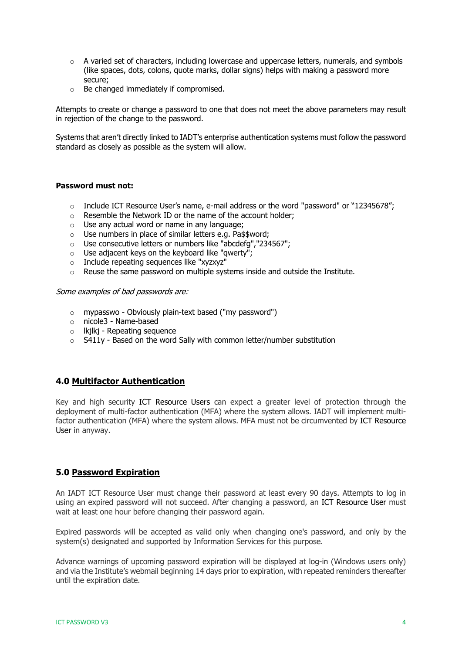- $\circ$  A varied set of characters, including lowercase and uppercase letters, numerals, and symbols (like spaces, dots, colons, quote marks, dollar signs) helps with making a password more secure;
- o Be changed immediately if compromised.

Attempts to create or change a password to one that does not meet the above parameters may result in rejection of the change to the password.

Systems that aren't directly linked to IADT's enterprise authentication systems must follow the password standard as closely as possible as the system will allow.

#### **Password must not:**

- $\circ$  Include ICT Resource User's name, e-mail address or the word "password" or "12345678";
- o Resemble the Network ID or the name of the account holder;
- o Use any actual word or name in any language;
- o Use numbers in place of similar letters e.g. Pa\$\$word;
- o Use consecutive letters or numbers like "abcdefg","234567";
- o Use adjacent keys on the keyboard like "qwerty";
- o Include repeating sequences like "xyzxyz"
- o Reuse the same password on multiple systems inside and outside the Institute.

Some examples of bad passwords are:

- o mypasswo Obviously plain-text based ("my password")
- o nicole3 Name-based
- o lkjlkj Repeating sequence
- $\circ$  S411y Based on the word Sally with common letter/number substitution

#### **4.0 Multifactor Authentication**

Key and high security ICT Resource Users can expect a greater level of protection through the deployment of multi-factor authentication (MFA) where the system allows. IADT will implement multifactor authentication (MFA) where the system allows. MFA must not be circumvented by ICT Resource User in anyway.

## **5.0 Password Expiration**

An IADT ICT Resource User must change their password at least every 90 days. Attempts to log in using an expired password will not succeed. After changing a password, an ICT Resource User must wait at least one hour before changing their password again.

Expired passwords will be accepted as valid only when changing one's password, and only by the system(s) designated and supported by Information Services for this purpose.

Advance warnings of upcoming password expiration will be displayed at log-in (Windows users only) and via the Institute's webmail beginning 14 days prior to expiration, with repeated reminders thereafter until the expiration date.